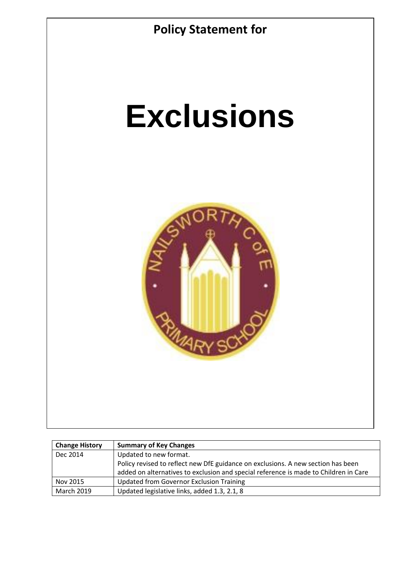

| <b>Change History</b> | <b>Summary of Key Changes</b>                                                        |
|-----------------------|--------------------------------------------------------------------------------------|
| Dec 2014              | Updated to new format.                                                               |
|                       | Policy revised to reflect new DfE guidance on exclusions. A new section has been     |
|                       | added on alternatives to exclusion and special reference is made to Children in Care |
| Nov 2015              | <b>Updated from Governor Exclusion Training</b>                                      |
| <b>March 2019</b>     | Updated legislative links, added 1.3, 2.1, 8                                         |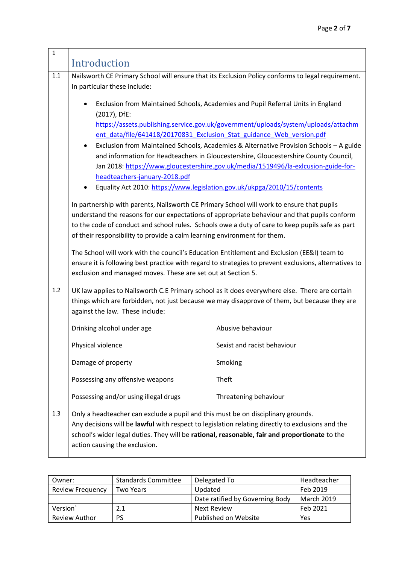| $\mathbf{1}$ | Introduction                                                                                                                                                                                                                                                                                                                                                             |                                                                                                                                                                                |  |  |
|--------------|--------------------------------------------------------------------------------------------------------------------------------------------------------------------------------------------------------------------------------------------------------------------------------------------------------------------------------------------------------------------------|--------------------------------------------------------------------------------------------------------------------------------------------------------------------------------|--|--|
| 1.1          | Nailsworth CE Primary School will ensure that its Exclusion Policy conforms to legal requirement.<br>In particular these include:                                                                                                                                                                                                                                        |                                                                                                                                                                                |  |  |
|              | Exclusion from Maintained Schools, Academies and Pupil Referral Units in England<br>(2017), DfE:                                                                                                                                                                                                                                                                         |                                                                                                                                                                                |  |  |
|              |                                                                                                                                                                                                                                                                                                                                                                          | https://assets.publishing.service.gov.uk/government/uploads/system/uploads/attachm<br>ent data/file/641418/20170831 Exclusion Stat guidance Web version.pdf                    |  |  |
|              |                                                                                                                                                                                                                                                                                                                                                                          | Exclusion from Maintained Schools, Academies & Alternative Provision Schools - A guide<br>and information for Headteachers in Gloucestershire, Gloucestershire County Council, |  |  |
|              |                                                                                                                                                                                                                                                                                                                                                                          | Jan 2018: https://www.gloucestershire.gov.uk/media/1519496/la-exicusion-guide-for-                                                                                             |  |  |
|              | headteachers-january-2018.pdf                                                                                                                                                                                                                                                                                                                                            |                                                                                                                                                                                |  |  |
|              | Equality Act 2010: https://www.legislation.gov.uk/ukpga/2010/15/contents                                                                                                                                                                                                                                                                                                 |                                                                                                                                                                                |  |  |
|              | In partnership with parents, Nailsworth CE Primary School will work to ensure that pupils<br>understand the reasons for our expectations of appropriate behaviour and that pupils conform<br>to the code of conduct and school rules. Schools owe a duty of care to keep pupils safe as part<br>of their responsibility to provide a calm learning environment for them. |                                                                                                                                                                                |  |  |
|              | The School will work with the council's Education Entitlement and Exclusion (EE&I) team to<br>ensure it is following best practice with regard to strategies to prevent exclusions, alternatives to<br>exclusion and managed moves. These are set out at Section 5.                                                                                                      |                                                                                                                                                                                |  |  |
| 1.2          | UK law applies to Nailsworth C.E Primary school as it does everywhere else. There are certain<br>things which are forbidden, not just because we may disapprove of them, but because they are<br>against the law. These include:                                                                                                                                         |                                                                                                                                                                                |  |  |
|              | Drinking alcohol under age                                                                                                                                                                                                                                                                                                                                               | Abusive behaviour                                                                                                                                                              |  |  |
|              | Physical violence                                                                                                                                                                                                                                                                                                                                                        | Sexist and racist behaviour                                                                                                                                                    |  |  |
|              | Damage of property                                                                                                                                                                                                                                                                                                                                                       | Smoking                                                                                                                                                                        |  |  |
|              | Possessing any offensive weapons                                                                                                                                                                                                                                                                                                                                         | Theft                                                                                                                                                                          |  |  |
|              | Possessing and/or using illegal drugs                                                                                                                                                                                                                                                                                                                                    | Threatening behaviour                                                                                                                                                          |  |  |
| 1.3          | Only a headteacher can exclude a pupil and this must be on disciplinary grounds.<br>Any decisions will be lawful with respect to legislation relating directly to exclusions and the<br>school's wider legal duties. They will be rational, reasonable, fair and proportionate to the<br>action causing the exclusion.                                                   |                                                                                                                                                                                |  |  |

| Owner:                  | <b>Standards Committee</b> | Delegated To                    | Headteacher       |
|-------------------------|----------------------------|---------------------------------|-------------------|
| <b>Review Frequency</b> | Two Years                  | Updated                         | Feb 2019          |
|                         |                            | Date ratified by Governing Body | <b>March 2019</b> |
| Version                 | 2.1                        | <b>Next Review</b>              | Feb 2021          |
| <b>Review Author</b>    | <b>PS</b>                  | Published on Website            | Yes               |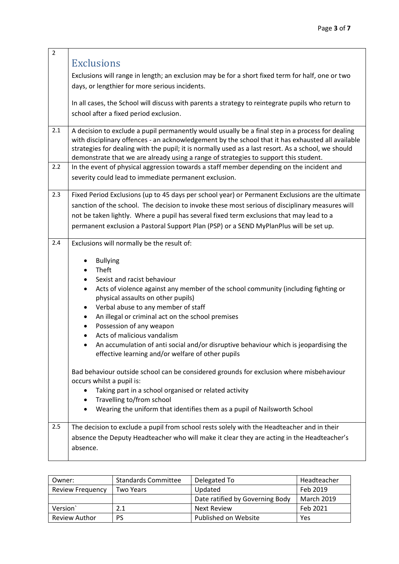| $\overline{2}$ |                                                                                                                                                                                                                                                                                                                                                                                                                                                                                                                                                                                                                                                                                                                                           |
|----------------|-------------------------------------------------------------------------------------------------------------------------------------------------------------------------------------------------------------------------------------------------------------------------------------------------------------------------------------------------------------------------------------------------------------------------------------------------------------------------------------------------------------------------------------------------------------------------------------------------------------------------------------------------------------------------------------------------------------------------------------------|
|                | <b>Exclusions</b>                                                                                                                                                                                                                                                                                                                                                                                                                                                                                                                                                                                                                                                                                                                         |
|                | Exclusions will range in length; an exclusion may be for a short fixed term for half, one or two<br>days, or lengthier for more serious incidents.                                                                                                                                                                                                                                                                                                                                                                                                                                                                                                                                                                                        |
|                | In all cases, the School will discuss with parents a strategy to reintegrate pupils who return to<br>school after a fixed period exclusion.                                                                                                                                                                                                                                                                                                                                                                                                                                                                                                                                                                                               |
| 2.1            | A decision to exclude a pupil permanently would usually be a final step in a process for dealing<br>with disciplinary offences - an acknowledgement by the school that it has exhausted all available<br>strategies for dealing with the pupil; it is normally used as a last resort. As a school, we should<br>demonstrate that we are already using a range of strategies to support this student.                                                                                                                                                                                                                                                                                                                                      |
| 2.2            | In the event of physical aggression towards a staff member depending on the incident and                                                                                                                                                                                                                                                                                                                                                                                                                                                                                                                                                                                                                                                  |
|                | severity could lead to immediate permanent exclusion.                                                                                                                                                                                                                                                                                                                                                                                                                                                                                                                                                                                                                                                                                     |
| 2.3            | Fixed Period Exclusions (up to 45 days per school year) or Permanent Exclusions are the ultimate                                                                                                                                                                                                                                                                                                                                                                                                                                                                                                                                                                                                                                          |
|                | sanction of the school. The decision to invoke these most serious of disciplinary measures will                                                                                                                                                                                                                                                                                                                                                                                                                                                                                                                                                                                                                                           |
|                | not be taken lightly. Where a pupil has several fixed term exclusions that may lead to a                                                                                                                                                                                                                                                                                                                                                                                                                                                                                                                                                                                                                                                  |
|                | permanent exclusion a Pastoral Support Plan (PSP) or a SEND MyPlanPlus will be set up.                                                                                                                                                                                                                                                                                                                                                                                                                                                                                                                                                                                                                                                    |
| 2.4            | Exclusions will normally be the result of:                                                                                                                                                                                                                                                                                                                                                                                                                                                                                                                                                                                                                                                                                                |
|                | <b>Bullying</b><br>Theft<br>Sexist and racist behaviour<br>Acts of violence against any member of the school community (including fighting or<br>$\bullet$<br>physical assaults on other pupils)<br>Verbal abuse to any member of staff<br>An illegal or criminal act on the school premises<br>٠<br>Possession of any weapon<br>$\bullet$<br>Acts of malicious vandalism<br>An accumulation of anti social and/or disruptive behaviour which is jeopardising the<br>effective learning and/or welfare of other pupils<br>Bad behaviour outside school can be considered grounds for exclusion where misbehaviour<br>occurs whilst a pupil is:<br>Taking part in a school organised or related activity<br>٠<br>Travelling to/from school |
|                | Wearing the uniform that identifies them as a pupil of Nailsworth School                                                                                                                                                                                                                                                                                                                                                                                                                                                                                                                                                                                                                                                                  |
| 2.5            | The decision to exclude a pupil from school rests solely with the Headteacher and in their<br>absence the Deputy Headteacher who will make it clear they are acting in the Headteacher's<br>absence.                                                                                                                                                                                                                                                                                                                                                                                                                                                                                                                                      |

| Owner:                  | <b>Standards Committee</b> | Delegated To                    | Headteacher       |
|-------------------------|----------------------------|---------------------------------|-------------------|
| <b>Review Frequency</b> | Two Years                  | Updated                         | Feb 2019          |
|                         |                            | Date ratified by Governing Body | <b>March 2019</b> |
| Version                 | 2.1                        | <b>Next Review</b>              | Feb 2021          |
| <b>Review Author</b>    | <b>PS</b>                  | Published on Website            | Yes               |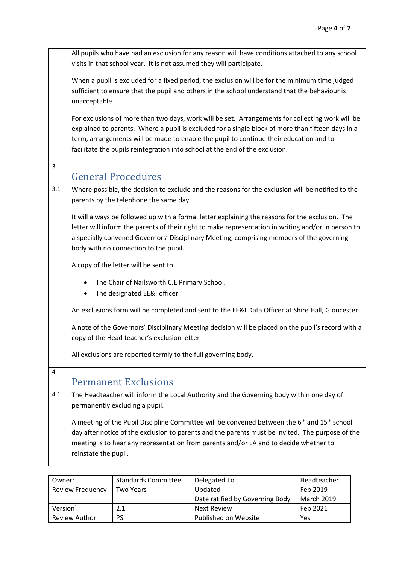|                | All pupils who have had an exclusion for any reason will have conditions attached to any school                                                                                                                                                                                                                                                                                 |
|----------------|---------------------------------------------------------------------------------------------------------------------------------------------------------------------------------------------------------------------------------------------------------------------------------------------------------------------------------------------------------------------------------|
|                | visits in that school year. It is not assumed they will participate.                                                                                                                                                                                                                                                                                                            |
|                | When a pupil is excluded for a fixed period, the exclusion will be for the minimum time judged<br>sufficient to ensure that the pupil and others in the school understand that the behaviour is<br>unacceptable.                                                                                                                                                                |
|                | For exclusions of more than two days, work will be set. Arrangements for collecting work will be<br>explained to parents. Where a pupil is excluded for a single block of more than fifteen days in a<br>term, arrangements will be made to enable the pupil to continue their education and to<br>facilitate the pupils reintegration into school at the end of the exclusion. |
| $\overline{3}$ | <b>General Procedures</b>                                                                                                                                                                                                                                                                                                                                                       |
| 3.1            | Where possible, the decision to exclude and the reasons for the exclusion will be notified to the<br>parents by the telephone the same day.                                                                                                                                                                                                                                     |
|                | It will always be followed up with a formal letter explaining the reasons for the exclusion. The<br>letter will inform the parents of their right to make representation in writing and/or in person to<br>a specially convened Governors' Disciplinary Meeting, comprising members of the governing<br>body with no connection to the pupil.                                   |
|                | A copy of the letter will be sent to:                                                                                                                                                                                                                                                                                                                                           |
|                | The Chair of Nailsworth C.E Primary School.<br>٠<br>The designated EE&I officer                                                                                                                                                                                                                                                                                                 |
|                | An exclusions form will be completed and sent to the EE&I Data Officer at Shire Hall, Gloucester.                                                                                                                                                                                                                                                                               |
|                | A note of the Governors' Disciplinary Meeting decision will be placed on the pupil's record with a<br>copy of the Head teacher's exclusion letter                                                                                                                                                                                                                               |
|                | All exclusions are reported termly to the full governing body.                                                                                                                                                                                                                                                                                                                  |
| 4              | <b>Permanent Exclusions</b>                                                                                                                                                                                                                                                                                                                                                     |
| 4.1            | The Headteacher will inform the Local Authority and the Governing body within one day of<br>permanently excluding a pupil.                                                                                                                                                                                                                                                      |
|                | A meeting of the Pupil Discipline Committee will be convened between the 6 <sup>th</sup> and 15 <sup>th</sup> school<br>day after notice of the exclusion to parents and the parents must be invited. The purpose of the<br>meeting is to hear any representation from parents and/or LA and to decide whether to<br>reinstate the pupil.                                       |

| Owner:                  | <b>Standards Committee</b> | Delegated To                    | Headteacher |
|-------------------------|----------------------------|---------------------------------|-------------|
| <b>Review Frequency</b> | <b>Two Years</b>           | Updated                         | Feb 2019    |
|                         |                            | Date ratified by Governing Body | March 2019  |
| Version                 | 2.1                        | <b>Next Review</b>              | Feb 2021    |
| Review Author           | PS                         | Published on Website            | Yes         |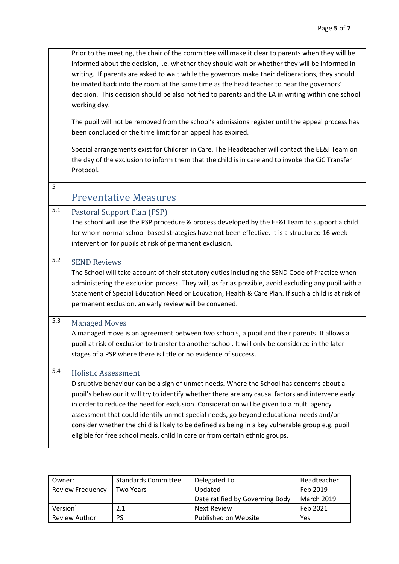|       | Prior to the meeting, the chair of the committee will make it clear to parents when they will be<br>informed about the decision, i.e. whether they should wait or whether they will be informed in<br>writing. If parents are asked to wait while the governors make their deliberations, they should<br>be invited back into the room at the same time as the head teacher to hear the governors'<br>decision. This decision should be also notified to parents and the LA in writing within one school<br>working day.<br>The pupil will not be removed from the school's admissions register until the appeal process has<br>been concluded or the time limit for an appeal has expired.<br>Special arrangements exist for Children in Care. The Headteacher will contact the EE&I Team on<br>the day of the exclusion to inform them that the child is in care and to invoke the CiC Transfer<br>Protocol. |
|-------|----------------------------------------------------------------------------------------------------------------------------------------------------------------------------------------------------------------------------------------------------------------------------------------------------------------------------------------------------------------------------------------------------------------------------------------------------------------------------------------------------------------------------------------------------------------------------------------------------------------------------------------------------------------------------------------------------------------------------------------------------------------------------------------------------------------------------------------------------------------------------------------------------------------|
| 5     | <b>Preventative Measures</b>                                                                                                                                                                                                                                                                                                                                                                                                                                                                                                                                                                                                                                                                                                                                                                                                                                                                                   |
| 5.1   | Pastoral Support Plan (PSP)<br>The school will use the PSP procedure & process developed by the EE&I Team to support a child<br>for whom normal school-based strategies have not been effective. It is a structured 16 week<br>intervention for pupils at risk of permanent exclusion.                                                                                                                                                                                                                                                                                                                                                                                                                                                                                                                                                                                                                         |
| $5.2$ | <b>SEND Reviews</b><br>The School will take account of their statutory duties including the SEND Code of Practice when<br>administering the exclusion process. They will, as far as possible, avoid excluding any pupil with a<br>Statement of Special Education Need or Education, Health & Care Plan. If such a child is at risk of<br>permanent exclusion, an early review will be convened.                                                                                                                                                                                                                                                                                                                                                                                                                                                                                                                |
| 5.3   | <b>Managed Moves</b><br>A managed move is an agreement between two schools, a pupil and their parents. It allows a<br>pupil at risk of exclusion to transfer to another school. It will only be considered in the later<br>stages of a PSP where there is little or no evidence of success.                                                                                                                                                                                                                                                                                                                                                                                                                                                                                                                                                                                                                    |
| 5.4   | <b>Holistic Assessment</b><br>Disruptive behaviour can be a sign of unmet needs. Where the School has concerns about a<br>pupil's behaviour it will try to identify whether there are any causal factors and intervene early<br>in order to reduce the need for exclusion. Consideration will be given to a multi agency<br>assessment that could identify unmet special needs, go beyond educational needs and/or<br>consider whether the child is likely to be defined as being in a key vulnerable group e.g. pupil<br>eligible for free school meals, child in care or from certain ethnic groups.                                                                                                                                                                                                                                                                                                         |

| Owner:                  | <b>Standards Committee</b> | Delegated To                    | Headteacher       |
|-------------------------|----------------------------|---------------------------------|-------------------|
| <b>Review Frequency</b> | Two Years                  | Updated                         | Feb 2019          |
|                         |                            | Date ratified by Governing Body | <b>March 2019</b> |
| Version                 | 2.1                        | <b>Next Review</b>              | Feb 2021          |
| <b>Review Author</b>    | <b>PS</b>                  | Published on Website            | Yes               |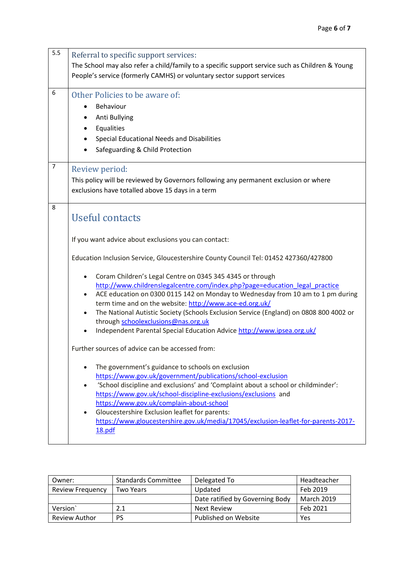| 5.5            | Referral to specific support services:<br>The School may also refer a child/family to a specific support service such as Children & Young<br>People's service (formerly CAMHS) or voluntary sector support services                                                                                                                                                                                                                                                                                                                                                                                                                                                                                                                                                                                                                                                                                                                                                                                                                                                                                                                                                                                                  |
|----------------|----------------------------------------------------------------------------------------------------------------------------------------------------------------------------------------------------------------------------------------------------------------------------------------------------------------------------------------------------------------------------------------------------------------------------------------------------------------------------------------------------------------------------------------------------------------------------------------------------------------------------------------------------------------------------------------------------------------------------------------------------------------------------------------------------------------------------------------------------------------------------------------------------------------------------------------------------------------------------------------------------------------------------------------------------------------------------------------------------------------------------------------------------------------------------------------------------------------------|
| 6              | Other Policies to be aware of:<br>Behaviour<br>Anti Bullying<br>Equalities<br>Special Educational Needs and Disabilities<br>Safeguarding & Child Protection                                                                                                                                                                                                                                                                                                                                                                                                                                                                                                                                                                                                                                                                                                                                                                                                                                                                                                                                                                                                                                                          |
| $\overline{7}$ | Review period:<br>This policy will be reviewed by Governors following any permanent exclusion or where<br>exclusions have totalled above 15 days in a term                                                                                                                                                                                                                                                                                                                                                                                                                                                                                                                                                                                                                                                                                                                                                                                                                                                                                                                                                                                                                                                           |
| 8              | <b>Useful contacts</b><br>If you want advice about exclusions you can contact:<br>Education Inclusion Service, Gloucestershire County Council Tel: 01452 427360/427800<br>Coram Children's Legal Centre on 0345 345 4345 or through<br>http://www.childrenslegalcentre.com/index.php?page=education legal practice<br>ACE education on 0300 0115 142 on Monday to Wednesday from 10 am to 1 pm during<br>term time and on the website: http://www.ace-ed.org.uk/<br>The National Autistic Society (Schools Exclusion Service (England) on 0808 800 4002 or<br>through schoolexclusions@nas.org.uk<br>Independent Parental Special Education Advice http://www.ipsea.org.uk/<br>Further sources of advice can be accessed from:<br>The government's guidance to schools on exclusion<br>https://www.gov.uk/government/publications/school-exclusion<br>'School discipline and exclusions' and 'Complaint about a school or childminder':<br>$\bullet$<br>https://www.gov.uk/school-discipline-exclusions/exclusions and<br>https://www.gov.uk/complain-about-school<br>Gloucestershire Exclusion leaflet for parents:<br>https://www.gloucestershire.gov.uk/media/17045/exclusion-leaflet-for-parents-2017-<br>18.pdf |

| Owner:                  | <b>Standards Committee</b> | Delegated To                    | Headteacher       |
|-------------------------|----------------------------|---------------------------------|-------------------|
| <b>Review Frequency</b> | Two Years                  | Updated                         | Feb 2019          |
|                         |                            | Date ratified by Governing Body | <b>March 2019</b> |
| Version                 | 2.1                        | <b>Next Review</b>              | Feb 2021          |
| <b>Review Author</b>    | PS                         | Published on Website            | Yes               |